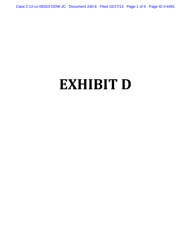Case 2:12-cv-08333-ODW-JC Document 240-6 Filed 10/17/13 Page 1 of 4 Page ID #:4491

# **EXHIBIT D**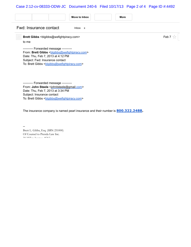# Case 2:12-cv-08333-ODW-JC Document 240-6 Filed 10/17/13 Page 2 of 4 Page ID #:4492

|                                   | Move to Inbox<br>More                                                                                                                                                                                                                                                                                                           |                      |
|-----------------------------------|---------------------------------------------------------------------------------------------------------------------------------------------------------------------------------------------------------------------------------------------------------------------------------------------------------------------------------|----------------------|
| Fwd: Insurance contact<br>Inbox x |                                                                                                                                                                                                                                                                                                                                 |                      |
| 2                                 | Brett Gibbs <blgibbs@wefightpiracy.com><br/>to me<br/>--------- Forwarded message ----------<br/>From: Brett Gibbs <br/> <b>Digibbs@wefightpiracy.com&gt;</b><br/>Date: Thu, Feb 7, 2013 at 4:12 PM<br/>Subject: Fwd: Insurance contact<br>To: Brett Gibbs <br/> blgibbs@wefightpiracy.com&gt;</br></blgibbs@wefightpiracy.com> | Feb 7 $\frac{1}{24}$ |
|                                   | --------- Forwarded message ----------<br>From: John Steele <johnlsteele@gmail.com><br/>Date: Thu, Feb 7, 2013 at 3:34 PM<br/>Subject: Insurance contact<br/>To: Brett Gibbs <br/> blgibbs@wefightpiracy.com&gt;</johnlsteele@gmail.com>                                                                                        |                      |

The insurance company is named pearl insurance and their number is **800.322.2488.**

-- Brett L. Gibbs, Esq. (SBN 251000) Of Counsel to Prenda Law Inc. 38 Miller Avenue, #263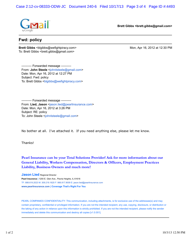Case 2:12-cv-08333-ODW-JC Document 240-6 Filed 10/17/13 Page 3 of 4 Page ID #:4493



**Brett Gibbs <brett.gibbs@gmail.com>**

## **Fwd: policy**

**Brett Gibbs** <blgibbs@wefightpiracy.com> Mon, Apr 16, 2012 at 12:30 PM To: Brett Gibbs <brett.gibbs@gmail.com>

---------- Forwarded message ---------- From: **John Steele** <johnlsteele@gmail.com> Date: Mon, Apr 16, 2012 at 12:27 PM Subject: Fwd: policy To: Brett Gibbs <br />blgibbs@wefightpiracy.com>

---------- Forwarded message ---------- From: **Lied, Jason** <jason.lied@pearlinsurance.com> Date: Mon, Apr 16, 2012 at 3:26 PM Subject: RE: policy To: John Steele <johnlsteele@gmail.com>

No bother at all. I've attached it. If you need anything else, please let me know.

Thanks!

## **Pearl Insurance can be your Total Solutions Provider! Ask for more information about our General Liability, Workers Compensation, Directors & Officers, Employment Practices Liability, Business Owners and much more!**

**Jason Lied** Regional Director **Pearl Insurance |** 1200 E. Glen Ave., Peoria Heights, IL 61616 TF: 888.619.2023 M: 309.219.1620 F: 866.817.9009 E: jason.lied@pearlinsurance.com **www.pearlinsurance.com | Coverage That's Right For You**

PEARL COMPANIES CONFIDENTIALITY: This communication, including attachments, is for exclusive use of the addressee(s) and may contain proprietary, confidential or privileged information. If you are not the intended recipient, any use, copying, disclosure, or distribution or the taking of any action in reliance upon this information is strictly prohibited. If you are not the intended recipient, please notify the sender immediately and delete this communication and destroy all copies [v1.0.001].